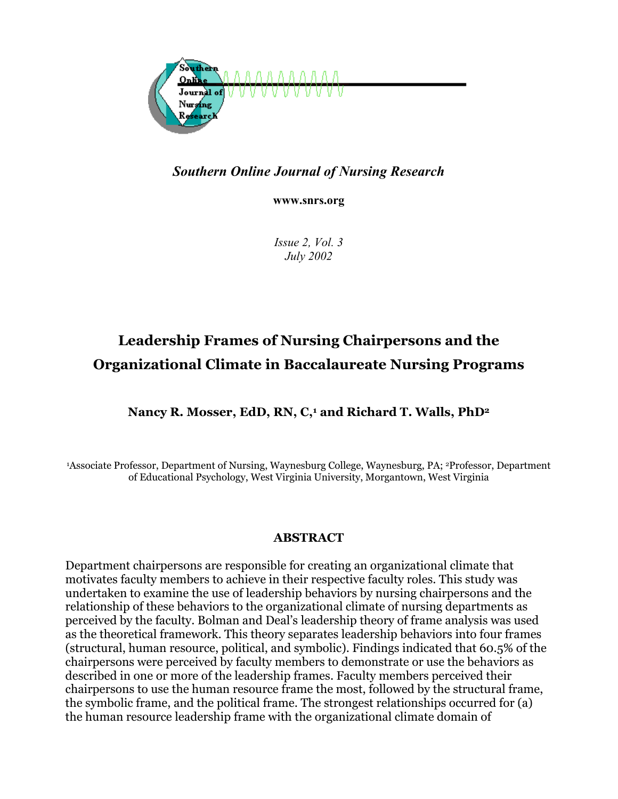

# *Southern Online Journal of Nursing Research*

**www.snrs.org**

*Issue 2, Vol. 3 July 2002*

# **Leadership Frames of Nursing Chairpersons and the Organizational Climate in Baccalaureate Nursing Programs**

# Nancy R. Mosser, EdD, RN, C,<sup>1</sup> and Richard T. Walls, PhD<sup>2</sup>

1Associate Professor, Department of Nursing, Waynesburg College, Waynesburg, PA; 2Professor, Department of Educational Psychology, West Virginia University, Morgantown, West Virginia

# **ABSTRACT**

Department chairpersons are responsible for creating an organizational climate that motivates faculty members to achieve in their respective faculty roles. This study was undertaken to examine the use of leadership behaviors by nursing chairpersons and the relationship of these behaviors to the organizational climate of nursing departments as perceived by the faculty. Bolman and Deal's leadership theory of frame analysis was used as the theoretical framework. This theory separates leadership behaviors into four frames (structural, human resource, political, and symbolic). Findings indicated that 60.5% of the chairpersons were perceived by faculty members to demonstrate or use the behaviors as described in one or more of the leadership frames. Faculty members perceived their chairpersons to use the human resource frame the most, followed by the structural frame, the symbolic frame, and the political frame. The strongest relationships occurred for (a) the human resource leadership frame with the organizational climate domain of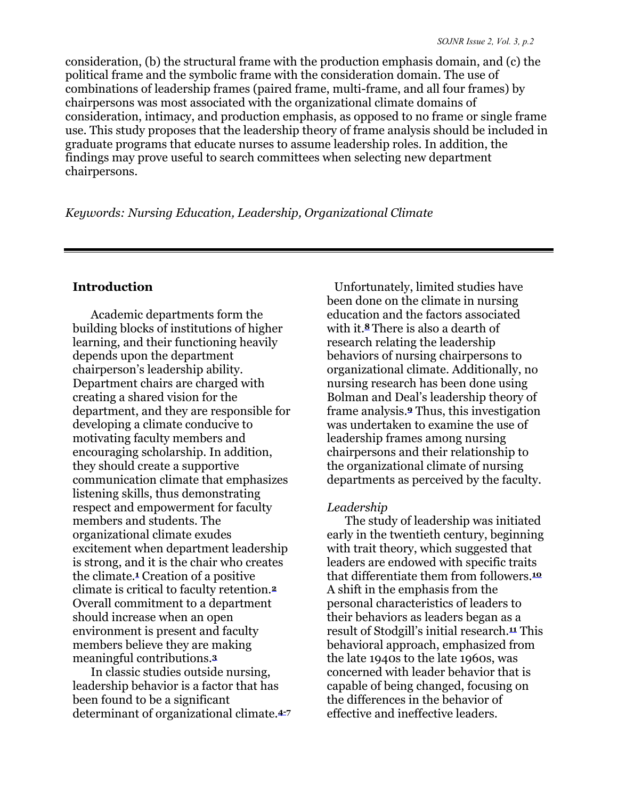consideration, (b) the structural frame with the production emphasis domain, and (c) the political frame and the symbolic frame with the consideration domain. The use of combinations of leadership frames (paired frame, multi-frame, and all four frames) by chairpersons was most associated with the organizational climate domains of consideration, intimacy, and production emphasis, as opposed to no frame or single frame use. This study proposes that the leadership theory of frame analysis should be included in graduate programs that educate nurses to assume leadership roles. In addition, the findings may prove useful to search committees when selecting new department chairpersons.

*Keywords: Nursing Education, Leadership, Organizational Climate* 

# **Introduction**

Academic departments form the building blocks of institutions of higher learning, and their functioning heavily depends upon the department chairperson's leadership ability. Department chairs are charged with creating a shared vision for the department, and they are responsible for developing a climate conducive to motivating faculty members and encouraging scholarship. In addition, they should create a supportive communication climate that emphasizes listening skills, thus demonstrating respect and empowerment for faculty members and students. The organizational climate exudes excitement when department leadership is strong, and it is the chair who creates the climate.**1** Creation of a positive climate is critical to faculty retention.**<sup>2</sup>** Overall commitment to a department should increase when an open environment is present and faculty members believe they are making meaningful contributions.**<sup>3</sup>**

In classic studies outside nursing, leadership behavior is a factor that has been found to be a significant determinant of organizational climate.**4-<sup>7</sup>**

 Unfortunately, limited studies have been done on the climate in nursing education and the factors associated with it.**8** There is also a dearth of research relating the leadership behaviors of nursing chairpersons to organizational climate. Additionally, no nursing research has been done using Bolman and Deal's leadership theory of frame analysis.**9** Thus, this investigation was undertaken to examine the use of leadership frames among nursing chairpersons and their relationship to the organizational climate of nursing departments as perceived by the faculty.

# *Leadership*

The study of leadership was initiated early in the twentieth century, beginning with trait theory, which suggested that leaders are endowed with specific traits that differentiate them from followers.**<sup>10</sup>** A shift in the emphasis from the personal characteristics of leaders to their behaviors as leaders began as a result of Stodgill's initial research.**11** This behavioral approach, emphasized from the late 1940s to the late 1960s, was concerned with leader behavior that is capable of being changed, focusing on the differences in the behavior of effective and ineffective leaders.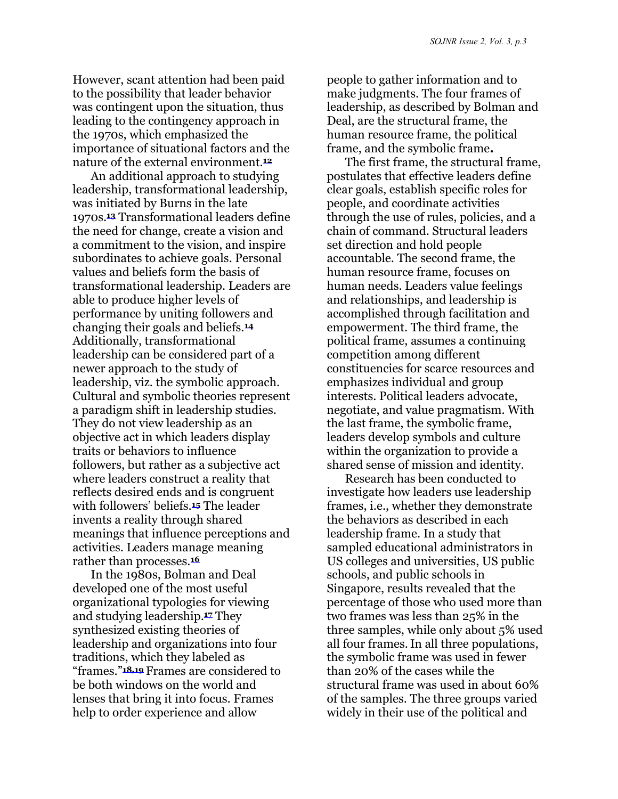However, scant attention had been paid to the possibility that leader behavior was contingent upon the situation, thus leading to the contingency approach in the 1970s, which emphasized the importance of situational factors and the nature of the external environment.**<sup>12</sup>**

An additional approach to studying leadership, transformational leadership, was initiated by Burns in the late 1970s.**13** Transformational leaders define the need for change, create a vision and a commitment to the vision, and inspire subordinates to achieve goals. Personal values and beliefs form the basis of transformational leadership. Leaders are able to produce higher levels of performance by uniting followers and changing their goals and beliefs.**<sup>14</sup>** Additionally, transformational leadership can be considered part of a newer approach to the study of leadership, viz. the symbolic approach. Cultural and symbolic theories represent a paradigm shift in leadership studies. They do not view leadership as an objective act in which leaders display traits or behaviors to influence followers, but rather as a subjective act where leaders construct a reality that reflects desired ends and is congruent with followers' beliefs.**15** The leader invents a reality through shared meanings that influence perceptions and activities. Leaders manage meaning rather than processes.**<sup>16</sup>**

In the 1980s, Bolman and Deal developed one of the most useful organizational typologies for viewing and studying leadership.**17** They synthesized existing theories of leadership and organizations into four traditions, which they labeled as "frames."**18,19** Frames are considered to be both windows on the world and lenses that bring it into focus. Frames help to order experience and allow

people to gather information and to make judgments. The four frames of leadership, as described by Bolman and Deal, are the structural frame, the human resource frame, the political frame, and the symbolic frame**.** 

The first frame, the structural frame, postulates that effective leaders define clear goals, establish specific roles for people, and coordinate activities through the use of rules, policies, and a chain of command. Structural leaders set direction and hold people accountable. The second frame, the human resource frame, focuses on human needs. Leaders value feelings and relationships, and leadership is accomplished through facilitation and empowerment. The third frame, the political frame, assumes a continuing competition among different constituencies for scarce resources and emphasizes individual and group interests. Political leaders advocate, negotiate, and value pragmatism. With the last frame, the symbolic frame, leaders develop symbols and culture within the organization to provide a shared sense of mission and identity.

Research has been conducted to investigate how leaders use leadership frames, i.e., whether they demonstrate the behaviors as described in each leadership frame. In a study that sampled educational administrators in US colleges and universities, US public schools, and public schools in Singapore, results revealed that the percentage of those who used more than two frames was less than 25% in the three samples, while only about 5% used all four frames.In all three populations, the symbolic frame was used in fewer than 20% of the cases while the structural frame was used in about 60% of the samples. The three groups varied widely in their use of the political and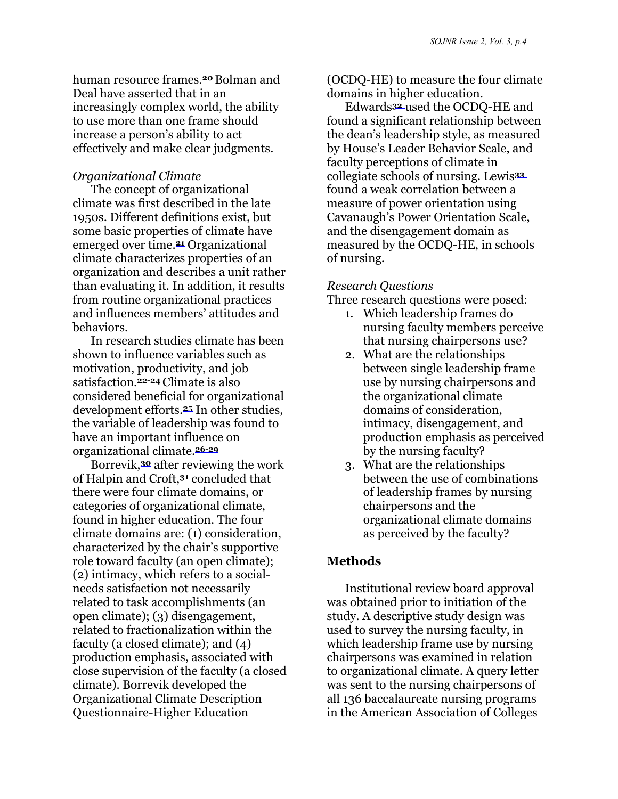human resource frames.**<sup>20</sup>** Bolman and Deal have asserted that in an increasingly complex world, the ability to use more than one frame should increase a person's ability to act effectively and make clear judgments.

# *Organizational Climate*

The concept of organizational climate was first described in the late 1950s. Different definitions exist, but some basic properties of climate have emerged over time.**21** Organizational climate characterizes properties of an organization and describes a unit rather than evaluating it. In addition, it results from routine organizational practices and influences members' attitudes and behaviors.

In research studies climate has been shown to influence variables such as motivation, productivity, and job satisfaction.**22-24** Climate is also considered beneficial for organizational development efforts.**25** In other studies, the variable of leadership was found to have an important influence on organizational climate.**26-29**

Borrevik,**30** after reviewing the work of Halpin and Croft,**31** concluded that there were four climate domains, or categories of organizational climate, found in higher education. The four climate domains are: (1) consideration, characterized by the chair's supportive role toward faculty (an open climate); (2) intimacy, which refers to a socialneeds satisfaction not necessarily related to task accomplishments (an open climate); (3) disengagement, related to fractionalization within the faculty (a closed climate); and (4) production emphasis, associated with close supervision of the faculty (a closed climate). Borrevik developed the Organizational Climate Description Questionnaire-Higher Education

(OCDQ-HE) to measure the four climate domains in higher education.

Edwards**<sup>32</sup>** used the OCDQ-HE and found a significant relationship between the dean's leadership style, as measured by House's Leader Behavior Scale, and faculty perceptions of climate in collegiate schools of nursing. Lewis**<sup>33</sup>** found a weak correlation between a measure of power orientation using Cavanaugh's Power Orientation Scale, and the disengagement domain as measured by the OCDQ-HE, in schools of nursing.

### *Research Questions*

Three research questions were posed:

- 1. Which leadership frames do nursing faculty members perceive that nursing chairpersons use?
- 2. What are the relationships between single leadership frame use by nursing chairpersons and the organizational climate domains of consideration, intimacy, disengagement, and production emphasis as perceived by the nursing faculty?
- 3. What are the relationships between the use of combinations of leadership frames by nursing chairpersons and the organizational climate domains as perceived by the faculty?

# **Methods**

Institutional review board approval was obtained prior to initiation of the study. A descriptive study design was used to survey the nursing faculty, in which leadership frame use by nursing chairpersons was examined in relation to organizational climate. A query letter was sent to the nursing chairpersons of all 136 baccalaureate nursing programs in the American Association of Colleges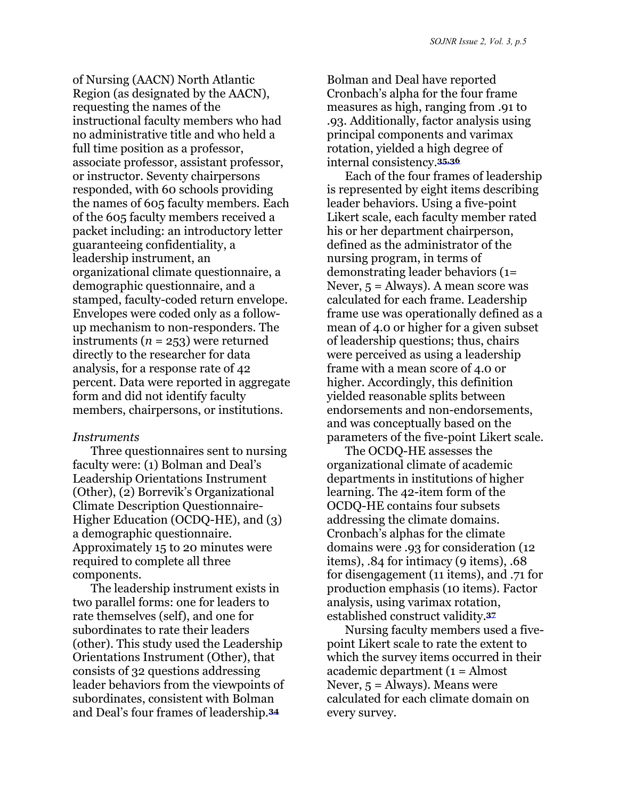of Nursing (AACN) North Atlantic Region (as designated by the AACN), requesting the names of the instructional faculty members who had no administrative title and who held a full time position as a professor, associate professor, assistant professor, or instructor. Seventy chairpersons responded, with 60 schools providing the names of 605 faculty members. Each of the 605 faculty members received a packet including: an introductory letter guaranteeing confidentiality, a leadership instrument, an organizational climate questionnaire, a demographic questionnaire, and a stamped, faculty-coded return envelope. Envelopes were coded only as a followup mechanism to non-responders. The instruments  $(n = 253)$  were returned directly to the researcher for data analysis, for a response rate of 42 percent. Data were reported in aggregate form and did not identify faculty members, chairpersons, or institutions.

#### *Instruments*

Three questionnaires sent to nursing faculty were: (1) Bolman and Deal's Leadership Orientations Instrument (Other), (2) Borrevik's Organizational Climate Description Questionnaire-Higher Education (OCDQ-HE), and (3) a demographic questionnaire. Approximately 15 to 20 minutes were required to complete all three components.

The leadership instrument exists in two parallel forms: one for leaders to rate themselves (self), and one for subordinates to rate their leaders (other). This study used the Leadership Orientations Instrument (Other), that consists of 32 questions addressing leader behaviors from the viewpoints of subordinates, consistent with Bolman and Deal's four frames of leadership.**<sup>34</sup>**

Bolman and Deal have reported Cronbach's alpha for the four frame measures as high, ranging from .91 to .93. Additionally, factor analysis using principal components and varimax rotation, yielded a high degree of internal consistency.**35,36**

Each of the four frames of leadership is represented by eight items describing leader behaviors. Using a five-point Likert scale, each faculty member rated his or her department chairperson, defined as the administrator of the nursing program, in terms of demonstrating leader behaviors (1= Never,  $5 =$  Always). A mean score was calculated for each frame. Leadership frame use was operationally defined as a mean of 4.0 or higher for a given subset of leadership questions; thus, chairs were perceived as using a leadership frame with a mean score of 4.0 or higher. Accordingly, this definition yielded reasonable splits between endorsements and non-endorsements, and was conceptually based on the parameters of the five-point Likert scale.

The OCDQ-HE assesses the organizational climate of academic departments in institutions of higher learning. The 42-item form of the OCDQ-HE contains four subsets addressing the climate domains. Cronbach's alphas for the climate domains were .93 for consideration (12 items), .84 for intimacy (9 items), .68 for disengagement (11 items), and .71 for production emphasis (10 items). Factor analysis, using varimax rotation, established construct validity.**<sup>37</sup>**

Nursing faculty members used a fivepoint Likert scale to rate the extent to which the survey items occurred in their academic department (1 = Almost Never,  $5 =$  Always). Means were calculated for each climate domain on every survey.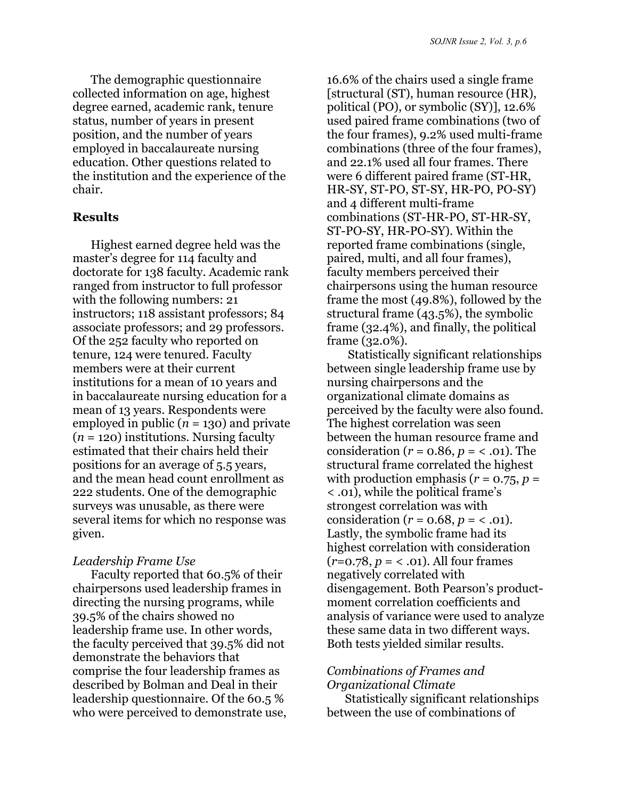The demographic questionnaire collected information on age, highest degree earned, academic rank, tenure status, number of years in present position, and the number of years employed in baccalaureate nursing education. Other questions related to the institution and the experience of the chair.

#### **Results**

Highest earned degree held was the master's degree for 114 faculty and doctorate for 138 faculty. Academic rank ranged from instructor to full professor with the following numbers: 21 instructors; 118 assistant professors; 84 associate professors; and 29 professors. Of the 252 faculty who reported on tenure, 124 were tenured. Faculty members were at their current institutions for a mean of 10 years and in baccalaureate nursing education for a mean of 13 years. Respondents were employed in public  $(n = 130)$  and private  $(n = 120)$  institutions. Nursing faculty estimated that their chairs held their positions for an average of 5.5 years, and the mean head count enrollment as 222 students. One of the demographic surveys was unusable, as there were several items for which no response was given.

#### *Leadership Frame Use*

Faculty reported that 60.5% of their chairpersons used leadership frames in directing the nursing programs, while 39.5% of the chairs showed no leadership frame use. In other words, the faculty perceived that 39.5% did not demonstrate the behaviors that comprise the four leadership frames as described by Bolman and Deal in their leadership questionnaire. Of the 60.5 % who were perceived to demonstrate use,

16.6% of the chairs used a single frame [structural (ST), human resource (HR), political (PO), or symbolic (SY)], 12.6% used paired frame combinations (two of the four frames), 9.2% used multi-frame combinations (three of the four frames), and 22.1% used all four frames. There were 6 different paired frame (ST-HR, HR-SY, ST-PO, ST-SY, HR-PO, PO-SY) and 4 different multi-frame combinations (ST-HR-PO, ST-HR-SY, ST-PO-SY, HR-PO-SY). Within the reported frame combinations (single, paired, multi, and all four frames), faculty members perceived their chairpersons using the human resource frame the most (49.8%), followed by the structural frame (43.5%), the symbolic frame (32.4%), and finally, the political frame (32.0%).

 Statistically significant relationships between single leadership frame use by nursing chairpersons and the organizational climate domains as perceived by the faculty were also found. The highest correlation was seen between the human resource frame and consideration (*r* = 0.86, *p* = < .01). The structural frame correlated the highest with production emphasis ( $r = 0.75$ ,  $p =$ < .01), while the political frame's strongest correlation was with consideration ( $r = 0.68$ ,  $p = 0.61$ ). Lastly, the symbolic frame had its highest correlation with consideration  $(r=0.78, p = 0.01)$ . All four frames negatively correlated with disengagement. Both Pearson's productmoment correlation coefficients and analysis of variance were used to analyze these same data in two different ways. Both tests yielded similar results.

### *Combinations of Frames and Organizational Climate*

Statistically significant relationships between the use of combinations of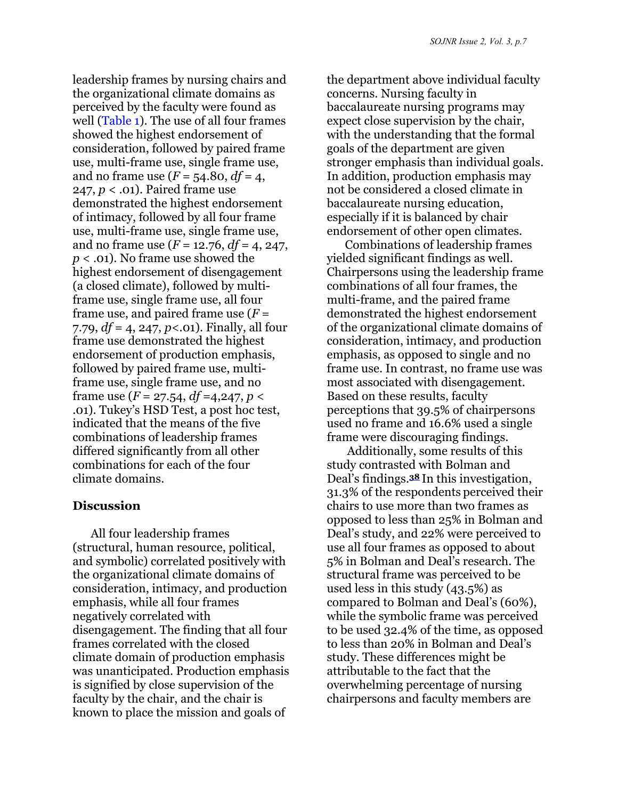<span id="page-6-0"></span>leadership frames by nursing chairs and the organizational climate domains as perceived by the faculty were found as well [\(Table 1\).](#page-10-0) The use of all four frames showed the highest endorsement of consideration, followed by paired frame use, multi-frame use, single frame use, and no frame use  $(F = 54.80, df = 4,$ 247, *p* < .01). Paired frame use demonstrated the highest endorsement of intimacy, followed by all four frame use, multi-frame use, single frame use, and no frame use (*F* = 12.76, *df* = 4, 247, *p* < .01). No frame use showed the highest endorsement of disengagement (a closed climate), followed by multiframe use, single frame use, all four frame use, and paired frame use (*F* = 7.79, *df* = 4, 247, *p*<.01). Finally, all four frame use demonstrated the highest endorsement of production emphasis, followed by paired frame use, multiframe use, single frame use, and no frame use  $(F = 27.54, df = 4.247, p <$ .01). Tukey's HSD Test, a post hoc test, indicated that the means of the five combinations of leadership frames differed significantly from all other combinations for each of the four climate domains.

#### **Discussion**

All four leadership frames (structural, human resource, political, and symbolic) correlated positively with the organizational climate domains of consideration, intimacy, and production emphasis, while all four frames negatively correlated with disengagement. The finding that all four frames correlated with the closed climate domain of production emphasis was unanticipated. Production emphasis is signified by close supervision of the faculty by the chair, and the chair is known to place the mission and goals of

the department above individual faculty concerns. Nursing faculty in baccalaureate nursing programs may expect close supervision by the chair, with the understanding that the formal goals of the department are given stronger emphasis than individual goals. In addition, production emphasis may not be considered a closed climate in baccalaureate nursing education, especially if it is balanced by chair endorsement of other open climates.

Combinations of leadership frames yielded significant findings as well. Chairpersons using the leadership frame combinations of all four frames, the multi-frame, and the paired frame demonstrated the highest endorsement of the organizational climate domains of consideration, intimacy, and production emphasis, as opposed to single and no frame use. In contrast, no frame use was most associated with disengagement. Based on these results, faculty perceptions that 39.5% of chairpersons used no frame and 16.6% used a single frame were discouraging findings.

Additionally, some results of this study contrasted with Bolman and Deal's findings.**38** In this investigation, 31.3% of the respondents perceived their chairs to use more than two frames as opposed to less than 25% in Bolman and Deal's study, and 22% were perceived to use all four frames as opposed to about 5% in Bolman and Deal's research. The structural frame was perceived to be used less in this study (43.5%) as compared to Bolman and Deal's (60%), while the symbolic frame was perceived to be used 32.4% of the time, as opposed to less than 20% in Bolman and Deal's study. These differences might be attributable to the fact that the overwhelming percentage of nursing chairpersons and faculty members are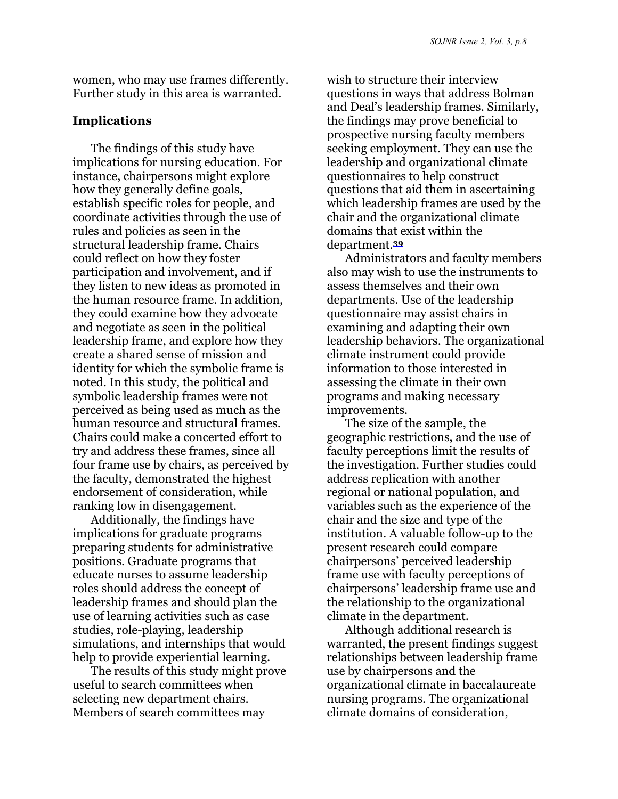women, who may use frames differently. Further study in this area is warranted.

#### **Implications**

The findings of this study have implications for nursing education. For instance, chairpersons might explore how they generally define goals, establish specific roles for people, and coordinate activities through the use of rules and policies as seen in the structural leadership frame. Chairs could reflect on how they foster participation and involvement, and if they listen to new ideas as promoted in the human resource frame. In addition, they could examine how they advocate and negotiate as seen in the political leadership frame, and explore how they create a shared sense of mission and identity for which the symbolic frame is noted. In this study, the political and symbolic leadership frames were not perceived as being used as much as the human resource and structural frames. Chairs could make a concerted effort to try and address these frames, since all four frame use by chairs, as perceived by the faculty, demonstrated the highest endorsement of consideration, while ranking low in disengagement.

Additionally, the findings have implications for graduate programs preparing students for administrative positions. Graduate programs that educate nurses to assume leadership roles should address the concept of leadership frames and should plan the use of learning activities such as case studies, role-playing, leadership simulations, and internships that would help to provide experiential learning.

The results of this study might prove useful to search committees when selecting new department chairs. Members of search committees may

wish to structure their interview questions in ways that address Bolman and Deal's leadership frames. Similarly, the findings may prove beneficial to prospective nursing faculty members seeking employment. They can use the leadership and organizational climate questionnaires to help construct questions that aid them in ascertaining which leadership frames are used by the chair and the organizational climate domains that exist within the department.**<sup>39</sup>**

Administrators and faculty members also may wish to use the instruments to assess themselves and their own departments. Use of the leadership questionnaire may assist chairs in examining and adapting their own leadership behaviors. The organizational climate instrument could provide information to those interested in assessing the climate in their own programs and making necessary improvements.

The size of the sample, the geographic restrictions, and the use of faculty perceptions limit the results of the investigation. Further studies could address replication with another regional or national population, and variables such as the experience of the chair and the size and type of the institution. A valuable follow-up to the present research could compare chairpersons' perceived leadership frame use with faculty perceptions of chairpersons' leadership frame use and the relationship to the organizational climate in the department.

Although additional research is warranted, the present findings suggest relationships between leadership frame use by chairpersons and the organizational climate in baccalaureate nursing programs. The organizational climate domains of consideration,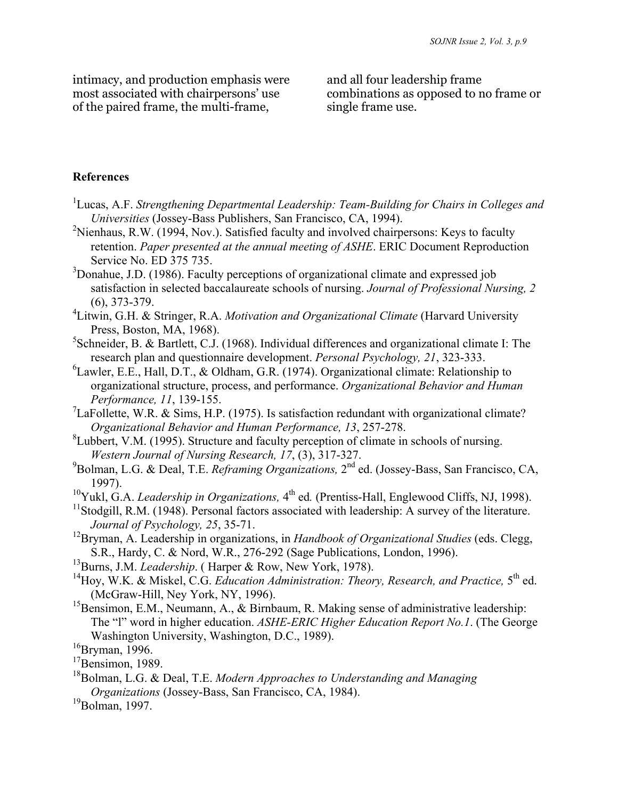intimacy, and production emphasis were most associated with chairpersons' use of the paired frame, the multi-frame,

and all four leadership frame combinations as opposed to no frame or single frame use.

#### **References**

- <sup>1</sup>Lucas, A.F. *Strengthening Departmental Leadership: Team-Building for Chairs in Colleges and Universities* (Jossey-Bass Publishers, San Francisco, CA, 1994).
- <sup>2</sup>Nienhaus, R.W. (1994, Nov.). Satisfied faculty and involved chairpersons: Keys to faculty retention. *Paper presented at the annual meeting of ASHE*. ERIC Document Reproduction Service No. ED 375 735.
- <sup>3</sup>Donahue, J.D. (1986). Faculty perceptions of organizational climate and expressed job satisfaction in selected baccalaureate schools of nursing. *Journal of Professional Nursing, 2* (6), 373-379.
- 4 Litwin, G.H. & Stringer, R.A. *Motivation and Organizational Climate* (Harvard University Press, Boston, MA, 1968).
- ${}^{5}$ Schneider, B. & Bartlett, C.J. (1968). Individual differences and organizational climate I: The research plan and questionnaire development. *Personal Psychology, 21*, 323-333.
- ${}^{6}$ Lawler, E.E., Hall, D.T., & Oldham, G.R. (1974). Organizational climate: Relationship to organizational structure, process, and performance. *Organizational Behavior and Human Performance, 11*, 139-155.
- <sup>7</sup>LaFollette, W.R. & Sims, H.P. (1975). Is satisfaction redundant with organizational climate? *Organizational Behavior and Human Performance, 13*, 257-278.
- ${}^{8}$ Lubbert, V.M. (1995). Structure and faculty perception of climate in schools of nursing. *Western Journal of Nursing Research, 17*, (3), 317-327.
- 9 Bolman, L.G. & Deal, T.E. *Reframing Organizations,* 2nd ed. (Jossey-Bass, San Francisco, CA, 1997).
- <sup>10</sup>Yukl, G.A. *Leadership in Organizations*,  $4^{th}$  ed. (Prentiss-Hall, Englewood Cliffs, NJ, 1998).
- $11$ Stodgill, R.M. (1948). Personal factors associated with leadership: A survey of the literature. *Journal of Psychology, 25*, 35-71.
- 12Bryman, A. Leadership in organizations, in *Handbook of Organizational Studies* (eds. Clegg, S.R., Hardy, C. & Nord, W.R., 276-292 (Sage Publications, London, 1996).
- <sup>13</sup>Burns, J.M. *Leadership*. (Harper & Row, New York, 1978).
- <sup>14</sup>Hoy, W.K. & Miskel, C.G. *Education Administration: Theory, Research, and Practice*, 5<sup>th</sup> ed. (McGraw-Hill, Ney York, NY, 1996).
- <sup>15</sup>Bensimon, E.M., Neumann, A.,  $\&$  Birnbaum, R. Making sense of administrative leadership: The "l" word in higher education. *ASHE-ERIC Higher Education Report No.1*. (The George Washington University, Washington, D.C., 1989).
- $16$ Bryman, 1996.
- $17$ Bensimon, 1989.
- 18Bolman, L.G. & Deal, T.E. *Modern Approaches to Understanding and Managing Organizations* (Jossey-Bass, San Francisco, CA, 1984).
- $19B$ olman, 1997.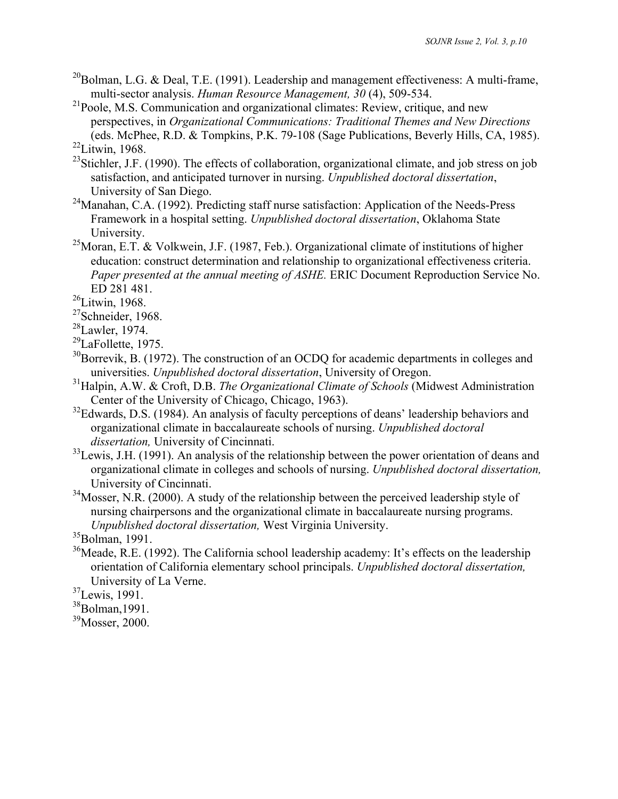$^{20}$ Bolman, L.G. & Deal, T.E. (1991). Leadership and management effectiveness: A multi-frame, multi-sector analysis. *Human Resource Management, 30* (4), 509-534.

<sup>21</sup>Poole, M.S. Communication and organizational climates: Review, critique, and new perspectives, in *Organizational Communications: Traditional Themes and New Directions* (eds. McPhee, R.D. & Tompkins, P.K. 79-108 (Sage Publications, Beverly Hills, CA, 1985).  $22$ Litwin, 1968.

- <sup>23</sup>Stichler, J.F. (1990). The effects of collaboration, organizational climate, and job stress on job satisfaction, and anticipated turnover in nursing. *Unpublished doctoral dissertation*, University of San Diego.
- $24$ Manahan, C.A. (1992). Predicting staff nurse satisfaction: Application of the Needs-Press Framework in a hospital setting. *Unpublished doctoral dissertation*, Oklahoma State University.
- <sup>25</sup>Moran, E.T. & Volkwein, J.F. (1987, Feb.). Organizational climate of institutions of higher education: construct determination and relationship to organizational effectiveness criteria. *Paper presented at the annual meeting of ASHE.* ERIC Document Reproduction Service No. ED 281 481.
- <sup>26</sup>Litwin, 1968.
- <sup>27</sup>Schneider, 1968.
- $28$ Lawler, 1974.
- <sup>29</sup>LaFollette, 1975.
- $30B$ orrevik, B. (1972). The construction of an OCDQ for academic departments in colleges and universities. *Unpublished doctoral dissertation*, University of Oregon.
- 31Halpin, A.W. & Croft, D.B. *The Organizational Climate of Schools* (Midwest Administration Center of the University of Chicago, Chicago, 1963).
- $32$ Edwards, D.S. (1984). An analysis of faculty perceptions of deans' leadership behaviors and organizational climate in baccalaureate schools of nursing. *Unpublished doctoral dissertation,* University of Cincinnati.
- $33$ Lewis, J.H. (1991). An analysis of the relationship between the power orientation of deans and organizational climate in colleges and schools of nursing. *Unpublished doctoral dissertation,* University of Cincinnati.
- $34$ Mosser, N.R. (2000). A study of the relationship between the perceived leadership style of nursing chairpersons and the organizational climate in baccalaureate nursing programs. *Unpublished doctoral dissertation,* West Virginia University.

- $36$ Meade, R.E. (1992). The California school leadership academy: It's effects on the leadership orientation of California elementary school principals. *Unpublished doctoral dissertation,* University of La Verne.
- 37Lewis, 1991.
- 38Bolman,1991.

<sup>39</sup>Mosser, 2000.

 $35$ Bolman, 1991.